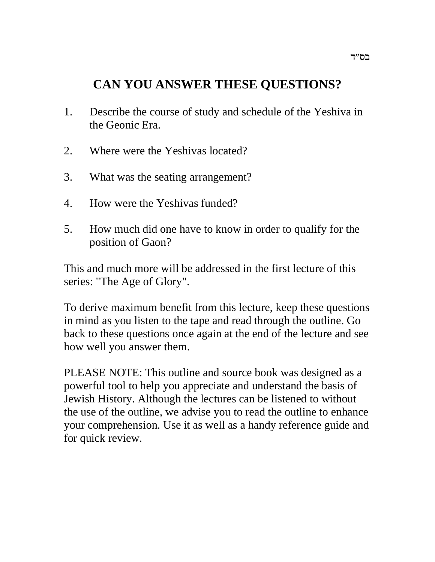# **CAN YOU ANSWER THESE QUESTIONS?**

- 1. Describe the course of study and schedule of the Yeshiva in the Geonic Era.
- 2. Where were the Yeshivas located?
- 3. What was the seating arrangement?
- 4. How were the Yeshivas funded?
- 5. How much did one have to know in order to qualify for the position of Gaon?

This and much more will be addressed in the first lecture of this series: "The Age of Glory".

To derive maximum benefit from this lecture, keep these questions in mind as you listen to the tape and read through the outline. Go back to these questions once again at the end of the lecture and see how well you answer them.

PLEASE NOTE: This outline and source book was designed as a powerful tool to help you appreciate and understand the basis of Jewish History. Although the lectures can be listened to without the use of the outline, we advise you to read the outline to enhance your comprehension. Use it as well as a handy reference guide and for quick review.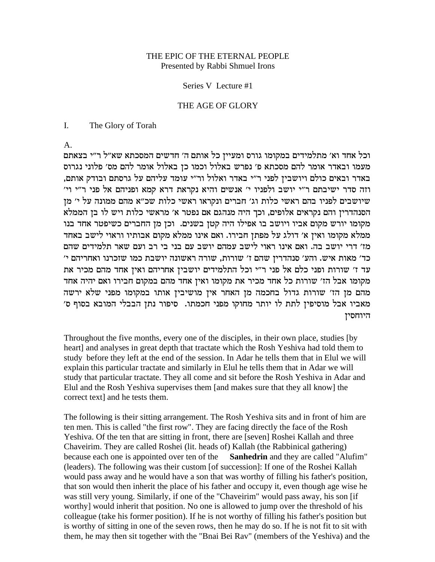#### THE EPIC OF THE ETERNAL PEOPLE Presented by Rabbi Shmuel Irons

Series V Lecture #1

#### THE AGE OF GLORY

 $\mathbf{I}$ . The Glory of Torah

 $A_{1}$ 

וכל אחד וא׳ מתלמידים במקומו גורס ומעייז כל אותם ה׳ חדשים המסכתא שא״ל ר״י בצאתם מעמו ובאדר אומר להם מסכתא פ׳ נפרש באלול וכמו כן באלול אומר להם מס׳ פלוני נגרוס באדר ובאים כולם ויושבין לפני ר״י באדר ואלול ור״י עומד עליהם על גרסתם ובודק אותם, וזה סדר ישיבתם ר"י יושב ולפניו י' אנשים והיא נקראת דרא קמא ופניהם אל פני ר"י וי' שיושבים לפניו בהם ראשי כלות וג׳ חברים ונקראו ראשי כלות שכ״א מהם ממונה על י׳ מן הסנהדרין והם נקראים אלופים, וכך היה מנהגם אם נפטר א׳ מראשי כלות ויש לו בן הממלא מקומו יורש מקום אביו ויושב בו אפילו היה קטן בשנים. וכן מן החברים כשיפטר אחד בנו ממלא מקומו ואין א׳ דולג על מפתן חבירו. ואם אינו ממלא מקום אבותיו וראוי לישב באחד מז' דרי יושב בה. ואם אינו ראוי לישב עמהם יושב עם בני בי רב ועם שאר תלמידים שהם כד' מאות איש. והע' סנהדרין שהם ז' שורות, שורה ראשונה יושבת כמו שזכרנו ואחריהם י' עד ז׳ שורות ופני כלם אל פני ר״י וכל התלמידים יושבין אחריהם ואין אחד מהם מכיר את מקומו אבל הז׳ שורות כל אחד מכיר את מקומו ואין אחד מהם במקום חבירו ואם יהיה אחד מהם מן הז' שורות גדול בחכמה מן האחר אין מושיבין אותו במקומו מפני שלא ירשה מאביו אבל מוסיפין לתת לו יותר מחוקו מפני חכמתו. סיפור נתן הבבלי המובא בסוף ס׳ היוחסין

Throughout the five months, every one of the disciples, in their own place, studies [by heart] and analyses in great depth that tractate which the Rosh Yeshiva had told them to study before they left at the end of the session. In Adar he tells them that in Elul we will explain this particular tractate and similarly in Elul he tells them that in Adar we will study that particular tractate. They all come and sit before the Rosh Yeshiva in Adar and Elul and the Rosh Yeshiva supervises them [and makes sure that they all know] the correct text] and he tests them.

The following is their sitting arrangement. The Rosh Yeshiva sits and in front of him are ten men. This is called "the first row". They are facing directly the face of the Rosh Yeshiva. Of the ten that are sitting in front, there are [seven] Roshei Kallah and three Chaveirim. They are called Roshei (lit. heads of) Kallah (the Rabbinical gathering) Sanhedrin and they are called "Alufim" because each one is appointed over ten of the (leaders). The following was their custom [of succession]: If one of the Roshei Kallah would pass away and he would have a son that was worthy of filling his father's position, that son would then inherit the place of his father and occupy it, even though age wise he was still very young. Similarly, if one of the "Chaveirim" would pass away, his son [if worthy] would inherit that position. No one is allowed to jump over the threshold of his colleague (take his former position). If he is not worthy of filling his father's position but is worthy of sitting in one of the seven rows, then he may do so. If he is not fit to sit with them, he may then sit together with the "Bnai Bei Rav" (members of the Yeshiva) and the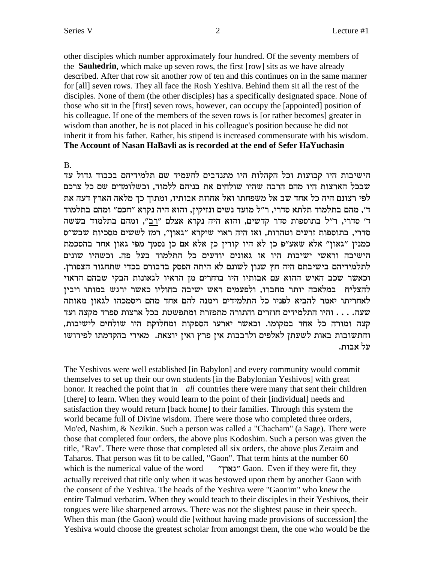his colleague. If one of the members of the seven rows is [or rather becomes] greater in wisdom than another, he is not placed in his colleague's position because he did not inherit it from his father. Rather, his stipend is increased commensurate with his wisdom.

The Account of Nasan HaBayli as is recorded at the end of Sefer HaYuchasin

הישיבות היו קבועות וכל הקהלות היו מתנדבים להעמיד שם תלמידיהם בכבוד גדול עד שבכל הארצות היו מהם הרבה שהיו שולחים את בניהם ללמוד, וכשלומדים שם כל צרכם לפי רצונם היה כל אחד שב אל משפחתו ואל אחוזת אבותיו, ומתוך כך מלאה הארץ דעה את ד׳, מהם בתלמוד תלתא סדרי, ר״ל מועד נשים ונזיקין, והוא היה נקרא ״חכם״ ומהם בתלמוד ד' סדרי, ר"ל בתוספות סדר קדשים, והוא היה נקרא אצלם "רב", ומהם בתלמוד בששה סדרי, בתוספות זרעים וטהרות, ואז היה ראוי שיקרא "גאון", רמז לששים מסכיות שבש"ס כמנין "גאון" אלא שאע"פ כן לא היו קורין כן אלא אם כן נסמך מפי גאון אחר בהסכמת הישיבה וראשי ישיבות היו אז גאונים יודעים כל התלמוד בעל פה. וכשהיו שונים לתלמידיהם בישיבתם היה חץ שנון לשונם לא היתה הפסק בדבורם בכדי שתחגור הצפורן. וכאשר שכב האיש ההוא עם אבותיו היו בוחרים מן הראיו לגאונות הבקי שבהם הראוי להצליח במלאכה יותר מחברו, ולפעמים ראש ישיבה בחוליו כאשר ירגש במותו ויביז לאחריתו יאמר להביא לפניו כל התלמידים וימנה להם אחד מהם ויסמכהו לגאון מאותה שעה. . . . . והיו התלמידים חוזרים והתורה מתפזרת ומתפשטת בכל ארצות ספרד מקצה ועד קצה ומורה כל אחד במקומו. וכאשר יארעו הספקות ומחלוקת היו שולחים לישיבות. והתשובות באות לשעתן לאלפים ולרבבות אין פרץ ואין יוצאת. מאירי בהקדמתו לפירושו על אבות.

The Yeshivos were well established [in Babylon] and every community would commit themselves to set up their our own students [in the Babylonian Yeshivos] with great honor. It reached the point that in all countries there were many that sent their children [there] to learn. When they would learn to the point of their [individual] needs and satisfaction they would return [back home] to their families. Through this system the world became full of Divine wisdom. There were those who completed three orders, Mo'ed, Nashim, & Nezikin. Such a person was called a "Chacham" (a Sage). There were those that completed four orders, the above plus Kodoshim. Such a person was given the title, "Rav". There were those that completed all six orders, the above plus Zeraim and Taharos. That person was fit to be called, "Gaon". That term hints at the number 60 which is the numerical value of the word "גאון" Gaon. Even if they were fit, they actually received that title only when it was bestowed upon them by another Gaon with the consent of the Yeshiva. The heads of the Yeshiva were "Gaonim" who knew the entire Talmud verbatim. When they would teach to their disciples in their Yeshivos, their tongues were like sharpened arrows. There was not the slightest pause in their speech. When this man (the Gaon) would die [without having made provisions of succession] the Yeshiva would choose the greatest scholar from amongst them, the one who would be the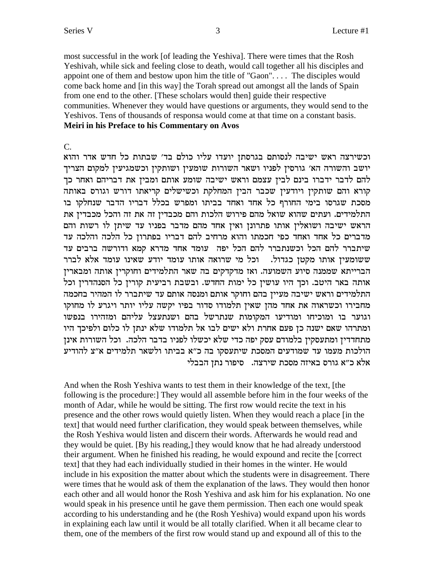most successful in the work [of leading the Yeshiva]. There were times that the Rosh Yeshivah, while sick and feeling close to death, would call together all his disciples and appoint one of them and bestow upon him the title of "Gaon".... The disciples would come back home and [in this way] the Torah spread out amongst all the lands of Spain from one end to the other. [These scholars would then] guide their respective communities. Whenever they would have questions or arguments, they would send to the Yeshivos. Tens of thousands of responsa would come at that time on a constant basis. Meiri in his Preface to his Commentary on Avos

#### $C_{\cdot}$

וכשירצה ראש ישיבה לנסותם בגרסתן יועדו עליו כולם בד׳ שבתות כל חדש אדר והוא יושב והשורה הא' גורסין לפניו ושאר השורות שומעין ושותקין וכשמגיעין למקום הצריך להם לדבר ידברו בינם לבין עצמם וראש ישיבה שומע אותם ומבין את דבריהם ואחר כך קורא והם שותקין ויודעין שכבר הבין המחלקת וכשישלים קריאתו דורש וגורס באותה מסכת שגרסו בימי החורף כל אחד ואחד בביתו ומפרש בכלל דבריו הדבר שנחלקו בו התלמידים. ועתים שהוא שואל מהם פירוש הלכות והם מכבדין זה את זה והכל מכבדין את הראש ישיבה ושואלין אותו פתרונן ואין אחד מהם מדבר בפניו עד שיתן לו רשות והם מדברים כל אחד ואחד כפי חכמתו והוא מרחיב להם דבריו בפתרון כל הלכה והלכה עד שיתברר להם הכל וכשנתברר להם הכל יפה עומד אחד מדרא קמא ודורשה ברבים עד ששומעין אותו מקטן כגדול. נכל מי שרואה אותו עומד יודע שאינו עומד אלא לברר הברייתא שממנה סיוע השמועה. ואז מדקדקים בה שאר התלמידים וחוקרין אותה ומבארין אותה באר היטב. וכך היו עושין כל ימות החדש. ובשבת רביעית קורין כל הסנהדרין וכל התלמידים וראש ישיבה מעיין בהם וחוקר אותם ומנסה אותם עד שיתברר לו המהיר בחכמה מחבירו וכשראוה את אחד מהן שאין תלמודו סדור בפיו יקשה עליו יותר ויגרע לו מחוקו וגוער בו ומוכיחו ומודיעו המקומות שנתרשל בהם ושנתעצל עליהם ומזהירו בנפשו ומתרהו שאם ישנה כן פעם אחרת ולא ישים לבו אל תלמודו שלא ינתן לו כלום ולפיכך היו מתחדדין ומתעסקין בלמודם עסק יפה כדי שלא יכשלו לפניו בדבר הלכה. וכל השורות אינן הולכות מעמו עד שמודעים המסכת שיתעסקו בה כ"א בביתו ולשאר תלמידים א"צ להודיע אלא כ"א גורס באיזה מסכת שירצה. סיפור נתן הבבלי

And when the Rosh Yeshiva wants to test them in their knowledge of the text, [the following is the procedure: They would all assemble before him in the four weeks of the month of Adar, while he would be sitting. The first row would recite the text in his presence and the other rows would quietly listen. When they would reach a place [in the text] that would need further clarification, they would speak between themselves, while the Rosh Yeshiva would listen and discern their words. Afterwards he would read and they would be quiet. [By his reading,] they would know that he had already understood their argument. When he finished his reading, he would expound and recite the [correct] text] that they had each individually studied in their homes in the winter. He would include in his exposition the matter about which the students were in disagreement. There were times that he would ask of them the explanation of the laws. They would then honor each other and all would honor the Rosh Yeshiva and ask him for his explanation. No one would speak in his presence until he gave them permission. Then each one would speak according to his understanding and he (the Rosh Yeshiva) would expand upon his words in explaining each law until it would be all totally clarified. When it all became clear to them, one of the members of the first row would stand up and expound all of this to the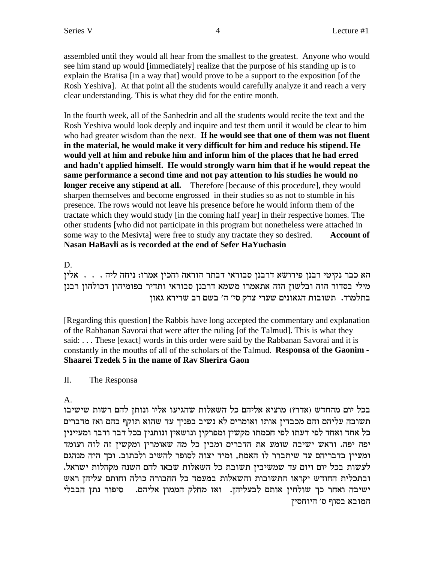assembled until they would all hear from the smallest to the greatest. Anyone who would see him stand up would [immediately] realize that the purpose of his standing up is to explain the Braisa [in a way that] would prove to be a support to the exposition [of the Rosh Yeshiva]. At that point all the students would carefully analyze it and reach a very clear understanding. This is what they did for the entire month.

In the fourth week, all of the Sanhedrin and all the students would recite the text and the Rosh Yeshiva would look deeply and inquire and test them until it would be clear to him who had greater wisdom than the next. If he would see that one of them was not fluent in the material, he would make it very difficult for him and reduce his stipend. He would yell at him and rebuke him and inform him of the places that he had erred and hadn't applied himself. He would strongly warn him that if he would repeat the same performance a second time and not pay attention to his studies he would no longer receive any stipend at all. Therefore [because of this procedure], they would sharpen themselves and become engrossed in their studies so as not to stumble in his presence. The rows would not leave his presence before he would inform them of the tractate which they would study [in the coming half year] in their respective homes. The other students [who did not participate in this program but nonetheless were attached in some way to the Mesivta] were free to study any tractate they so desired. **Account of** Nasan HaBavli as is recorded at the end of Sefer HaYuchasin

D.

הא כבר נקיטי רבנן פירושא דרבנן סבוראי דבתר הוראה והכין אמרו: ניחה ליה . . . . אלין מילי בסדור הזה ובלשון הזה אתאמרו משמא דרבנן סבוראי ותדיר בפומיהון דכולהון רבנן בתלמוד. תשובות הגאונים שערי צדק סי׳ ה׳ בשם רב שרירא גאון

[Regarding this question] the Rabbis have long accepted the commentary and explanation of the Rabbanan Savorai that were after the ruling [of the Talmud]. This is what they said: ... These [exact] words in this order were said by the Rabbanan Savorai and it is constantly in the mouths of all of the scholars of the Talmud. Responsa of the Gaonim -Shaarei Tzedek 5 in the name of Ray Sherira Gaon

 $\Pi$ . The Responsa

 $\mathbf{A}$ 

בכל יום מהחדש (אדר?) מוציא אליהם כל השאלות שהגיעו אליו ונותן להם רשות שישיבו תשובה עליהם והם מכבדין אותו ואומרים לא נשיב בפניך עד שהוא תוקף בהם ואז מדברים כל אחד ואחד לפי דעתו לפי חכמתו מקשין ומפרקין ונושאין ונותנין בכל דבר ודבר ומעיינין יפה יפה. וראש ישיבה שומע את הדברים ומבין כל מה שאומרין ומקשין זה לזה ועומד ומעיין בדבריהם עד שיתברר לו האמת, ומיד יצוה לסופר להשיב ולכתוב. וכך היה מנהגם לעשות בכל יום ויום עד שמשיבין תשובת כל השאלות שבאו להם השנה מקהלות ישראל. ובתכלית החודש יקראו התשובות והשאלות במעמד כל החבורה כולה וחותם עליהן ראש ישיבה ואחר כך שולחין אותם לבעליהן. ואז מחלק הממון אליהם. סיפור נתן הבבלי המובא בסוף ס׳ היוחסין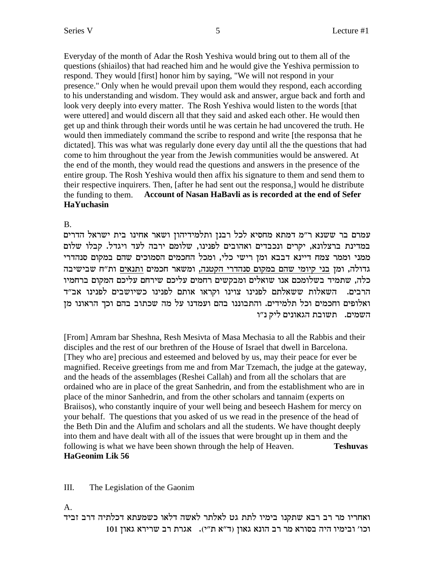Everyday of the month of Adar the Rosh Yeshiva would bring out to them all of the questions (shiailos) that had reached him and he would give the Yeshiva permission to respond. They would [first] honor him by saying, "We will not respond in your presence." Only when he would prevail upon them would they respond, each according to his understanding and wisdom. They would ask and answer, argue back and forth and look very deeply into every matter. The Rosh Yeshiva would listen to the words [that] were uttered] and would discern all that they said and asked each other. He would then get up and think through their words until he was certain he had uncovered the truth. He would then immediately command the scribe to respond and write [the responsa that he dictated]. This was what was regularly done every day until all the the questions that had come to him throughout the year from the Jewish communities would be answered. At the end of the month, they would read the questions and answers in the presence of the entire group. The Rosh Yeshiva would then affix his signature to them and send them to their respective inquirers. Then, [after he had sent out the responsa,] would he distribute the funding to them. Account of Nasan HaBavli as is recorded at the end of Sefer **HaYuchasin** 

 $B<sub>1</sub>$ 

עמרם בר ששנא ר״מ דמתא מחסיא לכל רבנז ותלמידיהוז ושאר אחינו בית ישראל הדרים במדינת ברצלונא, יקרים ונכבדים ואהובים לפנינו, שלומם ירבה לעד ויגדל. קבלו שלום ממני וממר צמח דיינא דבבא ומן רישי כלי, ומכל החכמים הסמוכים שהם במקום סנהדרי גדולה, ומן בני קיומי שהם במקום סנהדרי הקטנה, ומשאר חכמים ותנאים ות"ח שבישיבה כלה, שתמיד בשלומכם אנו שואלים ומבקשים רחמים עליכם שירחם עליכם המקום ברחמיו הרבים. השאלות ששאלתם לפנינו צוינו וקראו אותם לפנינו כשיושבים לפנינו אב"ד ואלופים וחכמים וכל תלמידים. והתבוננו בהם ועמדנו על מה שכתוב בהם וכך הראונו מן השמים. תשובת הגאונים ליק נ״ו

[From] Amram bar Sheshna, Resh Mesivta of Masa Mechasia to all the Rabbis and their disciples and the rest of our brethren of the House of Israel that dwell in Barcelona. [They who are] precious and esteemed and beloved by us, may their peace for ever be magnified. Receive greetings from me and from Mar Tzemach, the judge at the gateway, and the heads of the assemblages (Reshei Callah) and from all the scholars that are ordained who are in place of the great Sanhedrin, and from the establishment who are in place of the minor Sanhedrin, and from the other scholars and tannaim (experts on Braiisos), who constantly inquire of your well being and beseech Hashem for mercy on your behalf. The questions that you asked of us we read in the presence of the head of the Beth Din and the Alufim and scholars and all the students. We have thought deeply into them and have dealt with all of the issues that were brought up in them and the following is what we have been shown through the help of Heaven. **Teshuvas** HaGeonim Lik 56

#### III. The Legislation of the Gaonim

 $A_{\cdot}$ 

ואחריו מר רב רבא שתקנו בימיו לתת גט לאלתר לאשה דלאו כשמעתא דכלתיה דרב זביד וכו' ובימיו היה בסורא מר רב הונא גאון (ד"א ת"י). אגרת רב שרירא גאון 101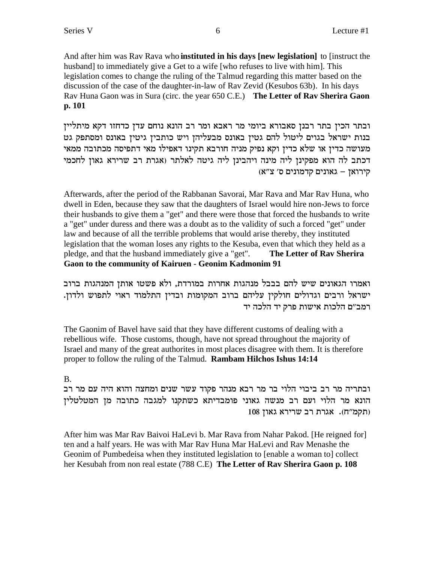And after him was Ray Raya who **instituted in his days [new legislation**] to [instruct the husband] to immediately give a Get to a wife [who refuses to live with him]. This legislation comes to change the ruling of the Talmud regarding this matter based on the discussion of the case of the daughter-in-law of Rav Zevid (Kesubos 63b). In his days Rav Huna Gaon was in Sura (circ. the year 650 C.E.) The Letter of Rav Sherira Gaon  $p. 101$ 

ובתר הכין בתר רבנן סאבורא ביומי מר ראבא ומר רב הונא נוחם עדן כדחזו דקא מיתליין בנות ישראל בגוים ליטול להם גטין באונס מבעליהן ויש כותבין גיטין באונס ומסתפק גט מעושה כדין או שלא כדין וקא נפיק מניה חורבא תקינו דאפילו מאי דתפיסה מכתובה ממאי דכתב לה הוא מפקינן ליה מינה ויהבינן ליה גיטה לאלתר (אגרת רב שרירא גאון לחכמי (מונים ס' צ"א) – איונים ארמונים

Afterwards, after the period of the Rabbanan Savorai, Mar Rava and Mar Rav Huna, who dwell in Eden, because they saw that the daughters of Israel would hire non-Jews to force their husbands to give them a "get" and there were those that forced the husbands to write a "get" under duress and there was a doubt as to the validity of such a forced "get" under law and because of all the terrible problems that would arise thereby, they instituted legislation that the woman loses any rights to the Kesuba, even that which they held as a pledge, and that the husband immediately give a "get". The Letter of Rav Sherira **Gaon to the community of Kairuen - Geonim Kadmonim 91** 

ואמרו הגאונים שיש להם בבבל מנהגות אחרות במורדת, ולא פשטו אותן המנהגות ברוב ישראל ורבים וגדולים חולקין עליהם ברוב המקומות ובדין התלמוד ראוי לתפוש ולדון. רמב״ם הלכות אישות פרק יד הלכה יד

The Gaonim of Bavel have said that they have different customs of dealing with a rebellious wife. Those customs, though, have not spread throughout the majority of Israel and many of the great authorites in most places disagree with them. It is therefore proper to follow the ruling of the Talmud. **Rambam Hilchos Ishus 14:14** 

### $B<sub>1</sub>$

ובתריה מר רב ביבוי הלוי בר מר רבא מנהר פקוד עשר שנים ומחצה והוא היה עם מר רב הונא מר הלוי ועם רב מנשה גאוני פומבדיתא כשתקנו למגבה כתובה מן המטלטלין תקמ"ח). אגרת רב שרירא גאון 108

After him was Mar Rav Baivoi HaLevi b. Mar Rava from Nahar Pakod. [He reigned for] ten and a half years. He was with Mar Rav Huna Mar HaLevi and Rav Menashe the Geonim of Pumbedeisa when they instituted legislation to [enable a woman to] collect her Kesubah from non real estate (788 C.E) The Letter of Rav Sherira Gaon p. 108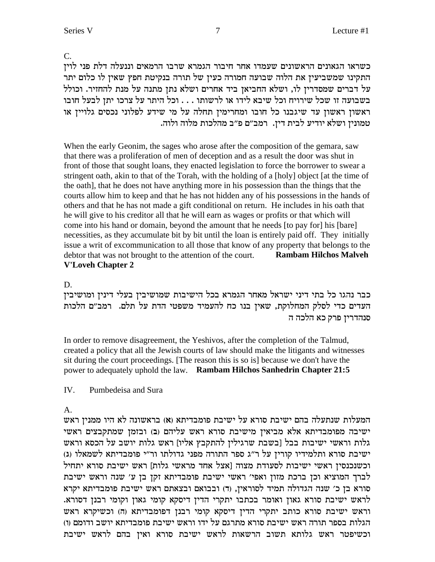גלות וראשי ישיבות בבל [בשבת שרגילין להתקבץ אליו] ראש גלות יושב על הכסא וראש ישיבת סורא ותלמידיו קורין על ר"ג ספר התורה מפני גדולתו ור"י פומבדיתא לשמאלו (ג) וכשנכנסין ראשי ישיבות לסעודת מצוה [אצל אחד מראשי גלות] ראש ישיבת סורא יתחיל לברך המוציא וכן ברכת מזון ואפי' ראשי ישיבת פומבדיתא זקן בן ע' שנה וראש ישיבת סורא בן כ׳ שנה הגדולה תמיד לסוראין, (ד) ובבואם ובצאתם ראש ישיבת פומבדיתא יקרא לראש ישיבת סורא גאון ואומר בכתבו יתקרי הדין דיסקא קומי גאון וקומי רבנן דסורא. וראש ישיבת סורא כותב יתקרי הדין דיסקא קומי רבנן דפומבדיתא (ה) וכשיקרא ראש הגלות בספר תורה ראש ישיבת סורא מתרגם על ידו וראש ישיבת פומבדיתא יושב ודומם (ו) וכשיפטר ראש גלותא תשוב הרשאות לראש ישיבת סורא ואין בהם לראש ישיבת

 $\mathbf{A}$ המעלות שנתעלה בהם ישיבת סורא על ישיבת פומבדיתא (א) בראשונה לא היו ממנין ראש ישיבה מפומבדיתא אלא מביאין מישיבת סורא ראש עליהם (ב) ובזמן שמתקבצים ראשי

sit during the court proceedings. [The reason this is so is] because we don't have the power to adequately uphold the law. Rambam Hilchos Sanhedrin Chapter 21:5

In order to remove disagreement, the Yeshivos, after the completion of the Talmud, created a policy that all the Jewish courts of law should make the litigants and witnesses

D. כבר נהגו כל בתי דיני ישראל מאחר הגמרא בכל הישיבות שמושיבין בעלי דינין ומושיבין העדים כדי לסלק המחלוקת, שאין בנו כח להעמיד משפטי הדת על תלם. רמב"ם הלכות סנהדרין פרק כא הלכה ה

### **V'Loveh Chapter 2**

Pumbedeisa and Sura

 $IV.$ 

When the early Geonim, the sages who arose after the composition of the gemara, saw that there was a proliferation of men of deception and as a result the door was shut in front of those that sought loans, they enacted legislation to force the borrower to swear a stringent oath, akin to that of the Torah, with the holding of a [holy] object [at the time of the oath], that he does not have anything more in his possession than the things that the courts allow him to keep and that he has not hidden any of his possessions in the hands of others and that he has not made a gift conditional on return. He includes in his oath that he will give to his creditor all that he will earn as wages or profits or that which will come into his hand or domain, beyond the amount that he needs [to pay for] his [bare] necessities, as they accumulate bit by bit until the loan is entirely paid off. They initially issue a writ of excommunication to all those that know of any property that belongs to the **Rambam Hilchos Malveh** debtor that was not brought to the attention of the court.

כשראו הגאונים הראשונים שעמדו אחר חיבור הגמרא שרבו הרמאים וננעלה דלת פני לוין התקינו שמשביעין את הלוה שבועה חמורה כעין של תורה בנקיטת חפץ שאין לו כלום יתר על דברים שמסדרין לו, ושלא החביאן ביד אחרים ושלא נתן מתנה על מנת להחזיר. וכולל בשבועה זו שכל שירויח וכל שיבא לידו או לרשותו . . . וכל היתר על צרכו יתן לבעל חובו ראשון ראשון עד שיגבנו כל חובו ומחרימין תחלה על מי שידע לפלוני נכסים גלויין או טמונין ושלא יודיע לבית דין. רמב״ם פ״ב מהלכות מלוה ולוה.

C.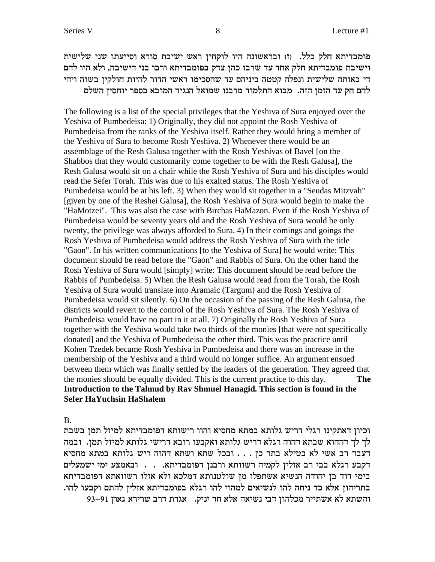פומבדיתא חלק כלל. (ז) ובראשונה היו לוקחין ראש ישיבת סורא וסייעתו שני שלישית וישיבת פומבדיתא חלק אחד עד שרבו כהן צדק בפומבדיתא ורבו בני הישיבה, ולא היו להם די באותה שלישית ונפלה קטטה ביניהם עד שהסכימו ראשי הדור להיות חולקין בשוה ויהי להם חק עד הזמן הזה. מבוא התלמוד מרבנו שמואל הנגיד המובא בספר יוחסין השלם

The following is a list of the special privileges that the Yeshiva of Sura enjoyed over the Yeshiva of Pumbedeisa: 1) Originally, they did not appoint the Rosh Yeshiva of Pumbedeisa from the ranks of the Yeshiva itself. Rather they would bring a member of the Yeshiva of Sura to become Rosh Yeshiva. 2) Whenever there would be an assemblage of the Resh Galusa together with the Rosh Yeshivas of Bavel [on the Shabbos that they would customarily come together to be with the Resh Galusa], the Resh Galusa would sit on a chair while the Rosh Yeshiva of Sura and his disciples would read the Sefer Torah. This was due to his exalted status. The Rosh Yeshiva of Pumbedeisa would be at his left. 3) When they would sit together in a "Seudas Mitzvah" [given by one of the Reshei Galusa], the Rosh Yeshiva of Sura would begin to make the "HaMotzei". This was also the case with Birchas HaMazon. Even if the Rosh Yeshiva of Pumbedeisa would be seventy years old and the Rosh Yeshiva of Sura would be only twenty, the privilege was always afforded to Sura. 4) In their comings and goings the Rosh Yeshiva of Pumbedeisa would address the Rosh Yeshiva of Sura with the title "Gaon". In his written communications [to the Yeshiva of Sura] he would write: This document should be read before the "Gaon" and Rabbis of Sura. On the other hand the Rosh Yeshiva of Sura would [simply] write: This document should be read before the Rabbis of Pumbedeisa. 5) When the Resh Galusa would read from the Torah, the Rosh Yeshiva of Sura would translate into Aramaic (Targum) and the Rosh Yeshiva of Pumbedeisa would sit silently. 6) On the occasion of the passing of the Resh Galusa, the districts would revert to the control of the Rosh Yeshiva of Sura. The Rosh Yeshiva of Pumbedeisa would have no part in it at all. 7) Originally the Rosh Yeshiva of Sura together with the Yeshiva would take two thirds of the monies [that were not specifically donated] and the Yeshiva of Pumbedeisa the other third. This was the practice until Kohen Tzedek became Rosh Yeshiva in Pumbedeisa and there was an increase in the membership of the Yeshiva and a third would no longer suffice. An argument ensued between them which was finally settled by the leaders of the generation. They agreed that the monies should be equally divided. This is the current practice to this day. **The Introduction to the Talmud by Rav Shmuel Hanagid. This section is found in the Sefer HaYuchsin HaShalem**

B.

וכיון דאתקינו רגלי דריש גלותא במתא מחסיא והוו רישותא דפומבדיתא למיזל תמן בשבת לך לך דההוא שבתא דהוה רגלא דריש גלותא ואקבעו רובא דרישי גלותא למיזל תמן. ובמה רעבד רב אשי לא בטילא בתר כז . . . ובכל שתא ושתא דהוה ריש גלותא במתא מחסיא הקבע רגלא בבי רב אזלין לקמיה רשוותא ורבנן דפומבדיתא. . . . ובאמצע ימי ישמעלים בימי דוד בן יהודה הנשיא אשתפלו מן שולטנותא דמלכא ולא אזלו רשוואתא דפומבדיתא בתריהון אלא כד ניחה להו לנשיאים למהוי להו רגלא בפומבדיתא אזלין להתם וקבעו להו. 93-91 והשתא לא אשתייר מכלהון דבי נשיאה אלא חד יניק. אגרת דרב שרירא גאון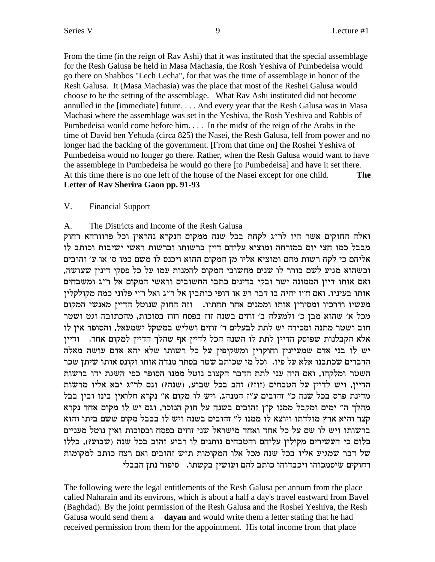From the time (in the reign of Rav Ashi) that it was instituted that the special assemblage for the Resh Galusa be held in Masa Machasia, the Rosh Yeshiva of Pumbedeisa would go there on Shabbos "Lech Lecha", for that was the time of assemblage in honor of the Resh Galusa. It (Masa Machasia) was the place that most of the Reshei Galusa would choose to be the setting of the assemblage. What Rav Ashi instituted did not become annulled in the [immediate] future. . . . And every year that the Resh Galusa was in Masa Machasi where the assemblage was set in the Yeshiva, the Rosh Yeshiva and Rabbis of Pumbedeisa would come before him. . . . In the midst of the reign of the Arabs in the time of David ben Yehuda (circa 825) the Nasei, the Resh Galusa, fell from power and no longer had the backing of the government. [From that time on] the Roshei Yeshiva of Pumbedeisa would no longer go there. Rather, when the Resh Galusa would want to have the assemblege in Pumbedeisa he would go there [to Pumbedeisa] and have it set there. At this time there is no one left of the house of the Nasei except for one child. **The Letter of Rav Sherira Gaon pp. 91-93**

#### V. Financial Support

#### A. The Districts and Income of the Resh Galusa

ואלה החוקים אשר היו לר״ג לקחת בכל שנה ממקום הנקרא נהראין וכל פרוורהא רחוק מבבל כמו חצי יום במזרחה ומוציא עליהם דיין ברשותו וברשות ראשי ישיבות וכותב לו אליהם כי לקח רשות מהם ומוציא אליו מן המקום ההוא ויכנס לו משם כמו ס׳ או ע׳ זהובים , וכשהוא מגיע לשם בורר לו שנים מחשובי המקום להמנות עמו על כל פסקי דינין שעושה, ואם אותו דיין הממונה ישר ובקי בדינים כתבו החשובים וראשי המקום אל ר"ג ומשבחים אותו בעיניו. ואם ח"ו יהיה בו דבר רע או דופי כותבין אל ר"ג ואל ר"י פלוני כמה מקולקלין מעשיו ודרכיו ומסירין אותו וממנים אחר תחתיו. וזה החוק שנוטל הדיין מאנשי המקום מכל א׳ שהוא מבן כ׳ ולמעלה ב׳ זוזים בשנה זוז בפסח וזוז בסוכות, מהכתובה וגט ושטר חוב ושטר מתנה ומכירה יש לתת לבעלים ד׳ זוזים ושליש במשקל ישמעאל, והסופר אין לו אלא הקבלנות שפוסק הדיין לתת לו השנה הכל לדיין אף שהלך הדיין למקום אחר. <sup>ודיין</sup> יש לו בני אדם שמעיינין וחוקרין ומשקיפין על כל רשותו שלא יהא אדם עושה מאלה הדברים שכתבנו אלא על פיו. וכל מי שכותב שטר בסתר מנדה אותו וקונס אותו שיתן שכר השטר ומלקהו, ואם היה עני לתת הדבר הקצוב נוטל ממנו הסופר כפי השגת ידו ברשות הדיין, ויש לדיין על הטבחים (זוז?) זהב בכל שבוע, (שנה?) וגם לר"ג יבא אליו מרשות מדינת פרס בכל שנה כ" זהובים ע"ז המנהג, ויש לו מקום א" נקרא חלואין בינו ובין בבל מהלך ה" ימים ומקבל ממנו ק"ן זהובים בשנה על חוק הנזכר, וגם יש לו מקום אחד נקרא קצר והיא ארץ מולדתו ויוצא לו ממנו ל" זהובים בשנה ויש לו בבבל מקום ששם ביתו והוא ברשותו ויש לו שם על כל אחד ואחד מישראל שני זוזים בפסח ובסוכות ואין נוטל מעניים כלום כי העשירים מקילין עליהם והטבחים נותנים לו רביע זהוב בכל שנה (שבוע?), כללו של דבר שמגיע אליו בכל שנה מכל אלו המקומות ת"ש זהובים ואם רצה כותב למקומות וחוקים שיסמכוהו ויכבדוהו כותב להם ועושין בקשתו. סיפור נתן הבבלי

The following were the legal entitlements of the Resh Galusa per annum from the place called Naharain and its environs, which is about a half a day's travel eastward from Bavel (Baghdad). By the joint permission of the Resh Galusa and the Roshei Yeshiva, the Resh Galusa would send them a **dayan** and would write them a letter stating that he had received permission from them for the appointment. His total income from that place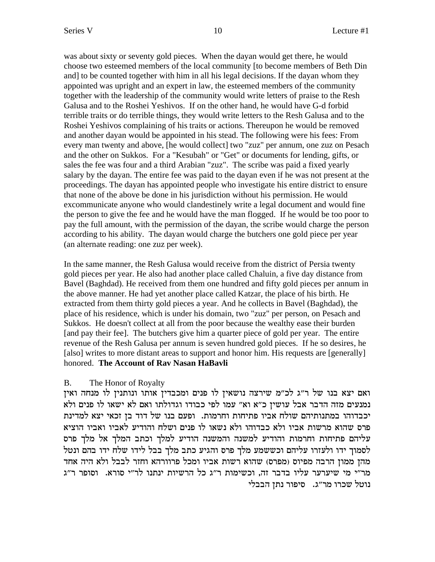was about sixty or seventy gold pieces. When the dayan would get there, he would choose two esteemed members of the local community [to become members of Beth Din and] to be counted together with him in all his legal decisions. If the dayan whom they appointed was upright and an expert in law, the esteemed members of the community together with the leadership of the community would write letters of praise to the Resh Galusa and to the Roshei Yeshivos. If on the other hand, he would have G-d forbid terrible traits or do terrible things, they would write letters to the Resh Galusa and to the Roshei Yeshivos complaining of his traits or actions. Thereupon he would be removed and another dayan would be appointed in his stead. The following were his fees: From every man twenty and above, [he would collect] two "zuz" per annum, one zuz on Pesach and the other on Sukkos. For a "Kesubah" or "Get" or documents for lending, gifts, or sales the fee was four and a third Arabian "zuz". The scribe was paid a fixed yearly salary by the dayan. The entire fee was paid to the dayan even if he was not present at the proceedings. The dayan has appointed people who investigate his entire district to ensure that none of the above be done in his jurisdiction without his permission. He would excommunicate anyone who would clandestinely write a legal document and would fine the person to give the fee and he would have the man flogged. If he would be too poor to pay the full amount, with the permission of the dayan, the scribe would charge the person according to his ability. The dayan would charge the butchers one gold piece per year (an alternate reading: one zuz per week).

In the same manner, the Resh Galusa would receive from the district of Persia twenty gold pieces per year. He also had another place called Chaluin, a five day distance from Bavel (Baghdad). He received from them one hundred and fifty gold pieces per annum in the above manner. He had yet another place called Katzar, the place of his birth. He extracted from them thirty gold pieces a year. And he collects in Bavel (Baghdad), the place of his residence, which is under his domain, two "zuz" per person, on Pesach and Sukkos. He doesn't collect at all from the poor because the wealthy ease their burden [and pay their fee]. The butchers give him a quarter piece of gold per year. The entire revenue of the Resh Galusa per annum is seven hundred gold pieces. If he so desires, he [also] writes to more distant areas to support and honor him. His requests are [generally] honored. **The Account of Rav Nasan HaBavli**

### B. The Honor of Royalty

ואם יצא בנו של ר"ג לכ"מ שירצה נושאין לו פנים ומכבדין אותו ונותנין לו מנחה ואין נמנעים מזה הדבר אבל עושין כ"א וא" עמו לפי כבודו וגדולתו ואם לא ישאו לו פנים ולא יכבדוהו במתנותיהם שולח אביו פתיחות וחרמות. ופעם בנו של דוד בן זכאי יצא למדינת פרס שהוא מרשות אביו ולא כבדוהו ולא נשאו לו פנים ושלח והודיע לאביו ואביו הוציא עליהם פתיחות וחרמות והודיע למשנה והמשנה הודיע למלך וכתב המלך אל מלך פרס לסמוך ידו ולעזרו עליהם וכששמע מלך פרס והגיע כתב מלך בבל לידו שלח ידו בהם ונטל מהן ממון הרבה מפיוס (מפרס) שהוא רשות אביו ומכל פרוורהא וחזר לבבל ולא היה אחד מר"י מי שיערער עליו בדבר זה, וכשימות ר"ג כל הרשיות ינתנו לר"י סורא. וסופר ר"ג נוטל שכרו מר"ג. סיפור נתן הבבלי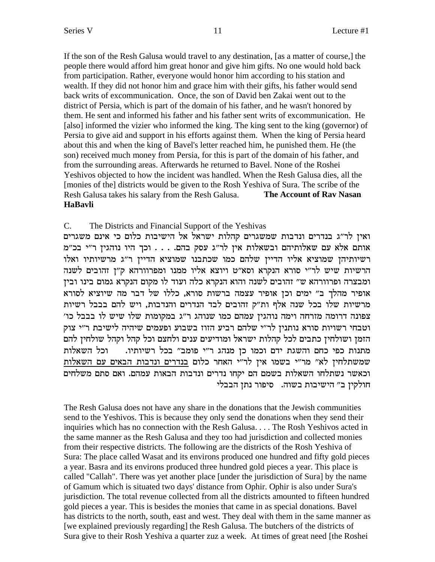If the son of the Resh Galusa would travel to any destination, [as a matter of course,] the people there would afford him great honor and give him gifts. No one would hold back from participation. Rather, everyone would honor him according to his station and wealth. If they did not honor him and grace him with their gifts, his father would send back writs of excommunication. Once, the son of David ben Zakai went out to the district of Persia, which is part of the domain of his father, and he wasn't honored by them. He sent and informed his father and his father sent writs of excommunication. He [also] informed the vizier who informed the king. The king sent to the king (governor) of Persia to give aid and support in his efforts against them. When the king of Persia heard about this and when the king of Bavel's letter reached him, he punished them. He (the son) received much money from Persia, for this is part of the domain of his father, and from the surrounding areas. Afterwards he returned to Bavel. None of the Roshei Yeshivos objected to how the incident was handled. When the Resh Galusa dies, all the [monies of the] districts would be given to the Rosh Yeshiva of Sura. The scribe of the Resh Galusa takes his salary from the Resh Galusa. The Account of Ray Nasan **HaBavli** 

#### $C_{\cdot}$ The Districts and Financial Support of the Yeshivas

ואין לר"ג בנדרים ונדבות שמשגרים קהלות ישראל אל הישיבות כלום כי אינם משגרים אותם אלא עם שאלותיהם ובשאלות אין לר"ג עסק בהם. . . . וכך היו נוהגין ר"י בכ"מ רשיותיהן שמוציא אליו הדיין שלהם כמו שכתבנו שמוציא הדיין ר"ג מרשיותיו ואלו הרשיות שיש לר"י סורא הנקרא וסא"ט ויוצא אליו ממנו ומפרוורהא ק"ן זהובים לשנה ומבצרה ופרוורהא ש״ זהובים לשנה והוא הנקרא כלה ועוד לו מקום הנקרא גמום בינו ובין אופיר מהלך ב" ימים וכן אופיר עצמה ברשות סורא, כללו של דבר מה שיוציא לסורא מרשיות שלו בכל שנה אלף ות"ק זהובים לבד הנדרים והנדבות, ויש להם בבבל רשיות צפונה דרומה מזרחה וימה נוהגין עמהם כמו שנוהג ר"ג במקומות שלו שיש לו בבבל כו' וטבחי רשויות סורא נותנין לר"י שלהם רביע הזוז בשבוע ופעמים שיהיה לישיבת ר"י צוק הזמן ושולחין כתבים לכל קהלות ישראל ומודיעים ענים ולחצם וכל קהל וקהל שולחין להם מתנות כפי כחם והשגת ידם וכמו כן מנהג ר״י פומב״ בכל רשיותיו. וכל השאלות שמשתלחין לא" מר"י בשמו אין לר"י האחר כלום בנדרים ונדבות הבאים עם השאלות וכאשר נשתלחו השאלות בשמם הם יקחו נדרים ונדבות הבאות עמהם. ואם סתם משלחים חולקין ב" הישיבות בשוה. סיפור נתן הבבלי

The Resh Galusa does not have any share in the donations that the Jewish communities send to the Yeshivos. This is because they only send the donations when they send their inquiries which has no connection with the Resh Galusa.... The Rosh Yeshivos acted in the same manner as the Resh Galusa and they too had jurisdiction and collected monies from their respective districts. The following are the districts of the Rosh Yeshiva of Sura: The place called Wasat and its environs produced one hundred and fifty gold pieces a year. Basra and its environs produced three hundred gold pieces a year. This place is called "Callah". There was yet another place [under the jurisdiction of Sura] by the name of Gamum which is situated two days' distance from Ophir. Ophir is also under Sura's jurisdiction. The total revenue collected from all the districts amounted to fifteen hundred gold pieces a year. This is besides the monies that came in as special donations. Bavel has districts to the north, south, east and west. They deal with them in the same manner as [we explained previously regarding] the Resh Galusa. The butchers of the districts of Sura give to their Rosh Yeshiva a quarter zuz a week. At times of great need [the Roshei]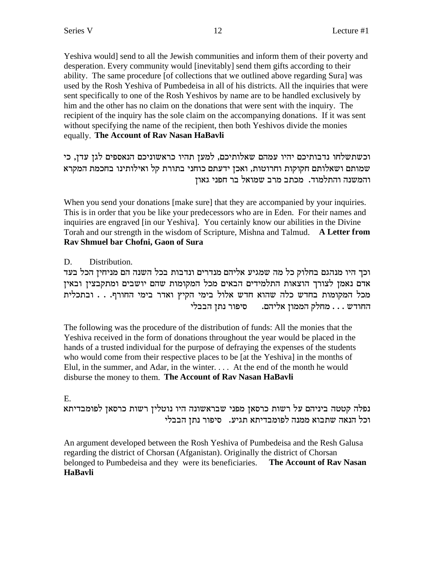Yeshiva would send to all the Jewish communities and inform them of their poverty and desperation. Every community would [inevitably] send them gifts according to their ability. The same procedure [of collections that we outlined above regarding Sura] was used by the Rosh Yeshiva of Pumbedeisa in all of his districts. All the inquiries that were sent specifically to one of the Rosh Yeshivos by name are to be handled exclusively by him and the other has no claim on the donations that were sent with the inquiry. The recipient of the inquiry has the sole claim on the accompanying donations. If it was sent without specifying the name of the recipient, then both Yeshivos divide the monies equally. The Account of Rav Nasan HaBavli

וכשתשלחו נדבותיכם יהיו עמהם שאלותיכם, למען תהיו כראשוניכם הנאספים לגן עדן, כי שמותם ושאלותם חקוקות וחרוטות, ואכן ידעתם כוחני בתורת קל ואילותינו בחכמת המקרא והמשנה והתלמוד. מכתב מרב שמואל בר חפני גאוז

When you send your donations [make sure] that they are accompanied by your inquiries. This is in order that you be like your predecessors who are in Eden. For their names and inquiries are engraved [in our Yeshiva]. You certainly know our abilities in the Divine Torah and our strength in the wisdom of Scripture, Mishna and Talmud. A Letter from Rav Shmuel bar Chofni, Gaon of Sura

Distribution. D.

וכך היו מנהגם בחלוק כל מה שמגיע אליהם מנדרים ונדבות בכל השנה הם מניחין הכל בעד אדם נאמן לצורך הוצאות התלמידים הבאים מכל המקומות שהם יושבים ומתקבצין ובאין מכל המקומות בחדש כלה שהוא חדש אלול בימי הקיץ ואדר בימי החורף. . . ובתכלית החודש... מחלק הממון אליהם. סיפור נתן הבבלי

The following was the procedure of the distribution of funds: All the monies that the Yeshiva received in the form of donations throughout the year would be placed in the hands of a trusted individual for the purpose of defraying the expenses of the students who would come from their respective places to be [at the Yeshiva] in the months of Elul, in the summer, and Adar, in the winter.... At the end of the month he would disburse the money to them. The Account of Rav Nasan HaBavli

E.

נפלה קטטה ביניהם על רשות כרסאן מפני שבראשונה היו נוטלין רשות כרסאן לפומבדיתא וכל הנאה שתבוא ממנה לפומבדיתא תגיע. סיפור נתן הבבלי

An argument developed between the Rosh Yeshiva of Pumbedeisa and the Resh Galusa regarding the district of Chorsan (Afganistan). Originally the district of Chorsan belonged to Pumbedeisa and they were its beneficiaries. The Account of Rav Nasan **HaBavli**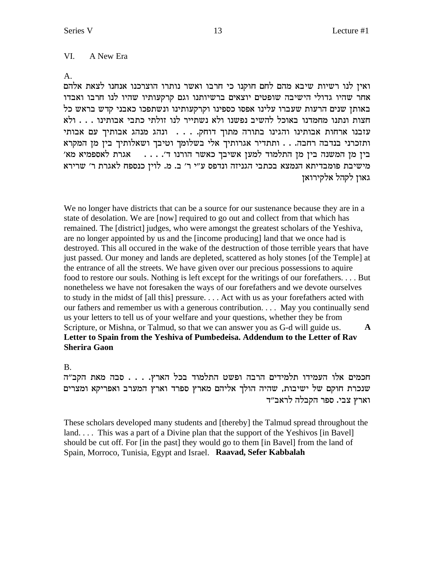#### VI. A New Era

#### $A_{-}$

ואין לנו רשיות שיבא מהם לחם חוקנו כי חרבו ואשר נותרו הוצרכנו אנחנו לצאת אלהם אחר שהיו גדולי הישיבה שופטים יוצאים ברשיותנו וגם קרקעותיו שהיו לנו חרבו ואבדו באותן שנים הרעות שעברו עלינו אפסו כספינו וקרקעותינו ונשתפכו כאבני קדש בראש כל חצות ונתנו מחמדנו באוכל להשיב נפשנו ולא נשתייר לנו זולתי כתבי אבותינו . . . ולא י הבנו התחות הבותינו הגינו בתורה מתוך דוחק. . . . ונהג מנהג אבותיך עם אבותי ותזכרני בנדבה רחבה... ותתדיר אגרותיך אלי בשלומך וטיבך ושאלותיך בין מן המקרא בין מן המשנה בין מן התלמוד למען אשיבך כאשר הורנו ד׳. . . . . . אגרת לאספמיא מא׳ מישיבת פומבדיתא הנמצא בכתבי הגניזה ונדפס ע"י ר' ב. מ. לוין כנספח לאגרת ר' שרירא גאון לקהל אלקירואן

We no longer have districts that can be a source for our sustenance because they are in a state of desolation. We are [now] required to go out and collect from that which has remained. The [district] judges, who were amongst the greatest scholars of the Yeshiva, are no longer appointed by us and the [income producing] land that we once had is destroyed. This all occured in the wake of the destruction of those terrible years that have just passed. Our money and lands are depleted, scattered as holy stones [of the Temple] at the entrance of all the streets. We have given over our precious possessions to aquire food to restore our souls. Nothing is left except for the writings of our forefathers....But nonetheless we have not foresaken the ways of our forefathers and we devote ourselves to study in the midst of [all this] pressure.... Act with us as your forefathers acted with our fathers and remember us with a generous contribution.... May you continually send us your letters to tell us of your welfare and your questions, whether they be from Scripture, or Mishna, or Talmud, so that we can answer you as G-d will guide us.  $\mathbf{A}$ Letter to Spain from the Yeshiva of Pumbedeisa. Addendum to the Letter of Rav **Sherira Gaon** 

### $B<sub>r</sub>$

חכמים אלו העמידו תלמידים הרבה ופשט התלמוד בכל הארץ. . . . סבה מאת הקב"ה שנכרת חוקם של ישיבות, שהיה הולך אליהם מארץ ספרד וארץ המערב ואפריקא ומצרים וארץ צבי. ספר הקבלה לראב״ד

These scholars developed many students and [thereby] the Talmud spread throughout the land.... This was a part of a Divine plan that the support of the Yeshivos [in Bavel] should be cut off. For [in the past] they would go to them [in Bavel] from the land of Spain, Morroco, Tunisia, Egypt and Israel. Raavad, Sefer Kabbalah